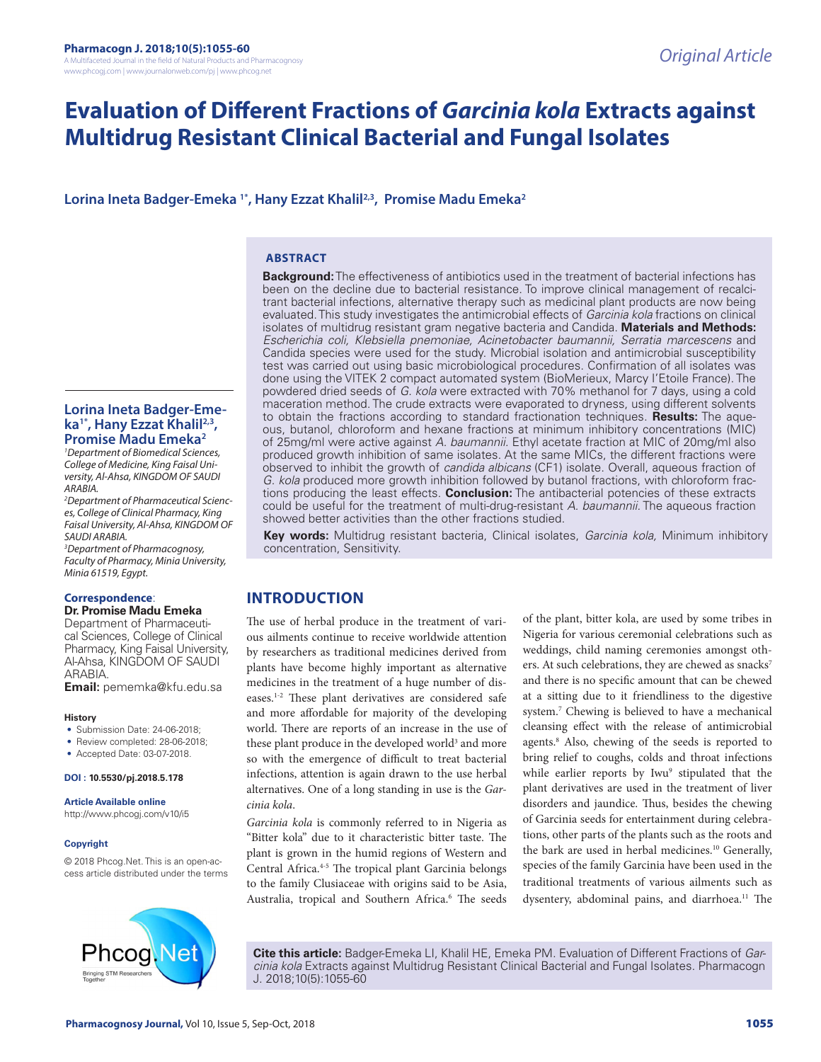# **Evaluation of Different Fractions of** *Garcinia kola* **Extracts against Multidrug Resistant Clinical Bacterial and Fungal Isolates**

**Lorina Ineta Badger-Emeka 1\*, Hany Ezzat Khalil2,3, Promise Madu Emeka2**

### **ABSTRACT**

**Background:** The effectiveness of antibiotics used in the treatment of bacterial infections has been on the decline due to bacterial resistance. To improve clinical management of recalcitrant bacterial infections, alternative therapy such as medicinal plant products are now being evaluated. This study investigates the antimicrobial effects of *Garcinia kola* fractions on clinical isolates of multidrug resistant gram negative bacteria and Candida. **Materials and Methods:**  *Escherichia coli, Klebsiella pnemoniae, Acinetobacter baumannii, Serratia marcescens* and Candida species were used for the study. Microbial isolation and antimicrobial susceptibility test was carried out using basic microbiological procedures. Confirmation of all isolates was done using the VITEK 2 compact automated system (BioMerieux, Marcy I'Etoile France). The powdered dried seeds of *G. kola* were extracted with 70% methanol for 7 days, using a cold maceration method. The crude extracts were evaporated to dryness, using different solvents to obtain the fractions according to standard fractionation techniques. **Results:** The aqueous, butanol, chloroform and hexane fractions at minimum inhibitory concentrations (MIC) of 25mg/ml were active against *A. baumannii.* Ethyl acetate fraction at MIC of 20mg/ml also produced growth inhibition of same isolates. At the same MICs, the different fractions were observed to inhibit the growth of *candida albicans* (CF1) isolate. Overall, aqueous fraction of *G. kola* produced more growth inhibition followed by butanol fractions, with chloroform fractions producing the least effects. **Conclusion:** The antibacterial potencies of these extracts could be useful for the treatment of multi-drug-resistant *A. baumannii.* The aqueous fraction showed better activities than the other fractions studied.

**Key words:** Multidrug resistant bacteria, Clinical isolates, *Garcinia kola,* Minimum inhibitory concentration, Sensitivity.

### **INTRODUCTION**

The use of herbal produce in the treatment of various ailments continue to receive worldwide attention by researchers as traditional medicines derived from plants have become highly important as alternative medicines in the treatment of a huge number of diseases.1-2 These plant derivatives are considered safe and more affordable for majority of the developing world. There are reports of an increase in the use of these plant produce in the developed world<sup>3</sup> and more so with the emergence of difficult to treat bacterial infections, attention is again drawn to the use herbal alternatives. One of a long standing in use is the *Garcinia kola*.

*Garcinia kola* is commonly referred to in Nigeria as "Bitter kola" due to it characteristic bitter taste. The plant is grown in the humid regions of Western and Central Africa.4-5 The tropical plant Garcinia belongs to the family Clusiaceae with origins said to be Asia, Australia, tropical and Southern Africa.<sup>6</sup> The seeds

of the plant, bitter kola, are used by some tribes in Nigeria for various ceremonial celebrations such as weddings, child naming ceremonies amongst others. At such celebrations, they are chewed as snacks<sup>7</sup> and there is no specific amount that can be chewed at a sitting due to it friendliness to the digestive system.7 Chewing is believed to have a mechanical cleansing effect with the release of antimicrobial agents.8 Also, chewing of the seeds is reported to bring relief to coughs, colds and throat infections while earlier reports by Iwu<sup>9</sup> stipulated that the plant derivatives are used in the treatment of liver disorders and jaundice. Thus, besides the chewing of Garcinia seeds for entertainment during celebrations, other parts of the plants such as the roots and the bark are used in herbal medicines.<sup>10</sup> Generally, species of the family Garcinia have been used in the traditional treatments of various ailments such as dysentery, abdominal pains, and diarrhoea.<sup>11</sup> The

**Cite this article:** Badger-Emeka LI, Khalil HE, Emeka PM. Evaluation of Different Fractions of *Garcinia kola* Extracts against Multidrug Resistant Clinical Bacterial and Fungal Isolates. Pharmacogn J. 2018;10(5):1055-60

**Lorina Ineta Badger-Emeka1\*, Hany Ezzat Khalil2,3, Promise Madu Emeka2**

*1 Department of Biomedical Sciences, College of Medicine, King Faisal University, Al-Ahsa, KINGDOM OF SAUDI ARABIA.*

*2 Department of Pharmaceutical Sciences, College of Clinical Pharmacy, King Faisal University, Al-Ahsa, KINGDOM OF SAUDI ARABIA.*

*3 Department of Pharmacognosy, Faculty of Pharmacy, Minia University, Minia 61519, Egypt.*

## **Correspondence**:

**Dr. Promise Madu Emeka** Department of Pharmaceutical Sciences, College of Clinical Pharmacy, King Faisal University, Al-Ahsa, KINGDOM OF SAUDI ARABIA.

**Email:** pememka@kfu.edu.sa

### **History**

- Submission Date: 24-06-2018;
- Review completed: 28-06-2018;
- Accepted Date: 03-07-2018.

### **DOI : 10.5530/pj.2018.5.178**

### **Article Available online**

http://www.phcogj.com/v10/i5

### **Copyright**

© 2018 Phcog.Net. This is an open-access article distributed under the terms

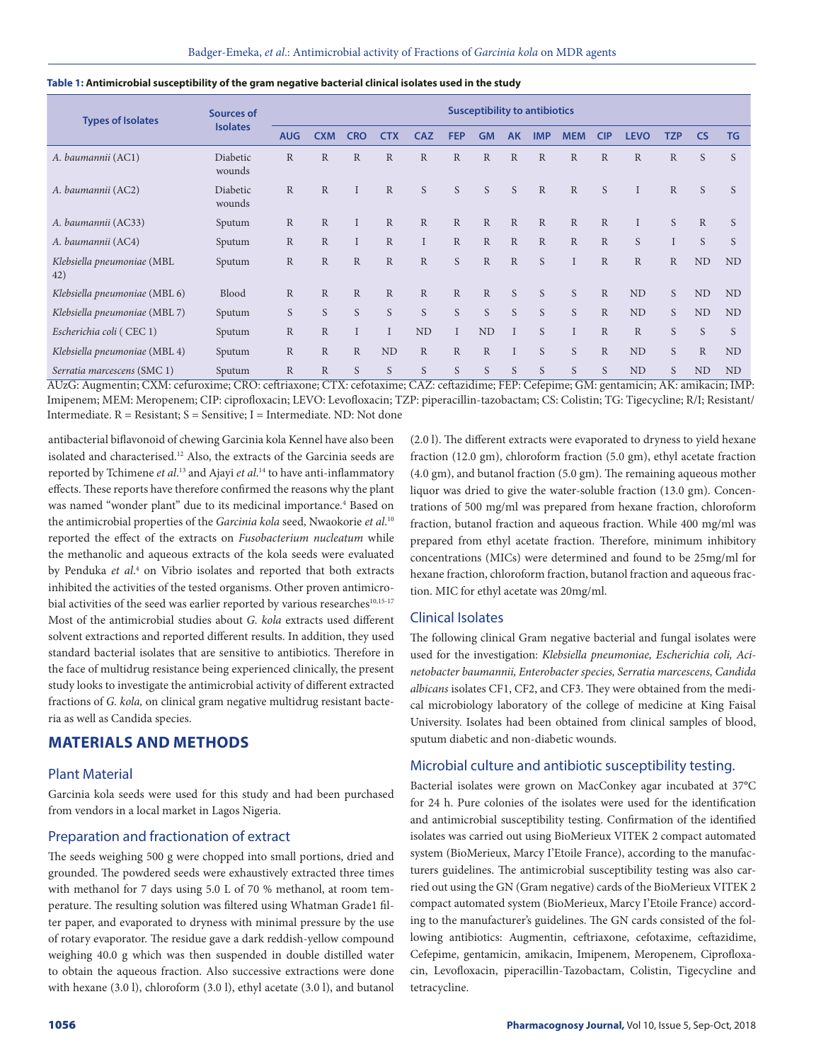| <b>Types of Isolates</b>          | <b>Sources of</b>  | <b>Susceptibility to antibiotics</b> |                |              |              |              |              |              |              |              |              |              |              |              |                |           |  |
|-----------------------------------|--------------------|--------------------------------------|----------------|--------------|--------------|--------------|--------------|--------------|--------------|--------------|--------------|--------------|--------------|--------------|----------------|-----------|--|
|                                   | <b>Isolates</b>    | <b>AUG</b>                           | <b>CXM</b>     | <b>CRO</b>   | <b>CTX</b>   | <b>CAZ</b>   | <b>FEP</b>   | <b>GM</b>    | <b>AK</b>    | <b>IMP</b>   | <b>MEM</b>   | <b>CIP</b>   | <b>LEVO</b>  | <b>TZP</b>   | <b>CS</b>      | <b>TG</b> |  |
| A. baumannii (AC1)                | Diabetic<br>wounds | $\mathbb{R}$                         | $\mathbb{R}$   | $\mathbb{R}$ | $\mathbb{R}$ | $\mathbb{R}$ | $\mathbb{R}$ | R            | $\mathbb{R}$ | $\mathbb{R}$ | $\mathbb{R}$ | $\mathbb{R}$ | $\mathbb{R}$ | $\mathbb{R}$ | S              | S         |  |
| A. baumannii (AC2)                | Diabetic<br>wounds | $\mathbb{R}$                         | $\mathbb{R}$   |              | $\mathbb{R}$ | S            | S            | S            | S            | $\mathbb{R}$ | $\mathbb{R}$ | S            |              | $\mathbb{R}$ | S              | S         |  |
| A. baumannii (AC33)               | Sputum             | $\mathbb{R}$                         | $\mathbb{R}$   |              | $\mathbb{R}$ | $\mathbb{R}$ | $\mathbb{R}$ | $\mathbb{R}$ | $\mathbb{R}$ | $\mathbb{R}$ | $\mathbb{R}$ | $\mathbb{R}$ |              | S            | $\mathbb{R}$   | S         |  |
| A. baumannii (AC4)                | Sputum             | $\mathbb{R}$                         | $\mathbb{R}$   |              | $\mathbb{R}$ |              | $\mathbb{R}$ | $\mathbb{R}$ | $\mathbb{R}$ | $\mathbb{R}$ | $\mathbb{R}$ | $\mathbb{R}$ | S            |              | S              | S         |  |
| Klebsiella pneumoniae (MBL<br>42) | Sputum             | $\mathbb{R}$                         | $\mathbb{R}$   | $\mathbb{R}$ | $\mathbb{R}$ | $\mathbb{R}$ | S            | $\mathbb{R}$ | $\mathbb{R}$ | S            |              | $\mathbb{R}$ | $\mathbb{R}$ | $\mathbb{R}$ | N <sub>D</sub> | <b>ND</b> |  |
| Klebsiella pneumoniae (MBL 6)     | <b>Blood</b>       | $\mathbb{R}$                         | $\overline{R}$ | $\mathbb{R}$ | $\mathbb{R}$ | R            | $\mathbb{R}$ | $\mathbb{R}$ | S            | S            | S            | $\mathbb{R}$ | <b>ND</b>    | S            | ND             | <b>ND</b> |  |
| Klebsiella pneumoniae (MBL 7)     | Sputum             | S                                    | S              | S            | S            | S            | S            | S            | S            | S            | S            | $\mathbb{R}$ | ND           | S.           | N <sub>D</sub> | ND        |  |
| Escherichia coli (CEC 1)          | Sputum             | $\mathbb{R}$                         | $\overline{R}$ |              | $\mathbf I$  | ND           |              | <b>ND</b>    |              | S.           | I            | $\mathbb{R}$ | $\mathbb{R}$ | S            | S              | S         |  |
| Klebsiella pneumoniae (MBL 4)     | Sputum             | $\mathbb{R}$                         | $\overline{R}$ | $\mathbb{R}$ | ND           | $\mathbb{R}$ | $\mathbb{R}$ | $\mathbb{R}$ |              | S            | S            | $\mathbb{R}$ | ND           | S.           | $\mathbb{R}$   | ND        |  |
| Serratia marcescens (SMC 1)       | Sputum             | $\mathbb{R}$                         | $\mathbb{R}$   | S            | S            | S            | S            | S            | S            | S            | S            | S            | ND           | S            | ND             | <b>ND</b> |  |

### **Table 1: Antimicrobial susceptibility of the gram negative bacterial clinical isolates used in the study**

AUzG: Augmentin; CXM: cefuroxime; CRO: ceftriaxone; CTX: cefotaxime; CAZ: ceftazidime; FEP: Cefepime; GM: gentamicin; AK: amikacin; IMP: Imipenem; MEM: Meropenem; CIP: ciprofloxacin; LEVO: Levofloxacin; TZP: piperacillin-tazobactam; CS: Colistin; TG: Tigecycline; R/I; Resistant/ Intermediate.  $R =$  Resistant;  $S =$  Sensitive; I = Intermediate. ND: Not done

antibacterial biflavonoid of chewing Garcinia kola Kennel have also been isolated and characterised.<sup>12</sup> Also, the extracts of the Garcinia seeds are reported by Tchimene *et al*. 13 and Ajayi *et al*. 14 to have anti-inflammatory effects. These reports have therefore confirmed the reasons why the plant was named "wonder plant" due to its medicinal importance.<sup>4</sup> Based on the antimicrobial properties of the *Garcinia kola* seed, Nwaokorie *et al*. 10 reported the effect of the extracts on *Fusobacterium nucleatum* while the methanolic and aqueous extracts of the kola seeds were evaluated by Penduka et al.<sup>4</sup> on Vibrio isolates and reported that both extracts inhibited the activities of the tested organisms. Other proven antimicrobial activities of the seed was earlier reported by various researches<sup>10,15-17</sup> Most of the antimicrobial studies about *G. kola* extracts used different solvent extractions and reported different results. In addition, they used standard bacterial isolates that are sensitive to antibiotics. Therefore in the face of multidrug resistance being experienced clinically, the present study looks to investigate the antimicrobial activity of different extracted fractions of *G. kola,* on clinical gram negative multidrug resistant bacteria as well as Candida species.

### **MATERIALS AND METHODS**

### Plant Material

Garcinia kola seeds were used for this study and had been purchased from vendors in a local market in Lagos Nigeria.

### Preparation and fractionation of extract

The seeds weighing 500 g were chopped into small portions, dried and grounded. The powdered seeds were exhaustively extracted three times with methanol for 7 days using 5.0 L of 70 % methanol, at room temperature. The resulting solution was filtered using Whatman Grade1 filter paper, and evaporated to dryness with minimal pressure by the use of rotary evaporator. The residue gave a dark reddish-yellow compound weighing 40.0 g which was then suspended in double distilled water to obtain the aqueous fraction. Also successive extractions were done with hexane (3.0 l), chloroform (3.0 l), ethyl acetate (3.0 l), and butanol (2.0 l). The different extracts were evaporated to dryness to yield hexane fraction (12.0 gm), chloroform fraction (5.0 gm), ethyl acetate fraction (4.0 gm), and butanol fraction (5.0 gm). The remaining aqueous mother liquor was dried to give the water-soluble fraction (13.0 gm). Concentrations of 500 mg/ml was prepared from hexane fraction, chloroform fraction, butanol fraction and aqueous fraction. While 400 mg/ml was prepared from ethyl acetate fraction. Therefore, minimum inhibitory concentrations (MICs) were determined and found to be 25mg/ml for hexane fraction, chloroform fraction, butanol fraction and aqueous fraction. MIC for ethyl acetate was 20mg/ml.

### Clinical Isolates

The following clinical Gram negative bacterial and fungal isolates were used for the investigation: *Klebsiella pneumoniae, Escherichia coli, Acinetobacter baumannii, Enterobacter species, Serratia marcescens, Candida albicans* isolates CF1, CF2, and CF3. They were obtained from the medical microbiology laboratory of the college of medicine at King Faisal University. Isolates had been obtained from clinical samples of blood, sputum diabetic and non-diabetic wounds.

### Microbial culture and antibiotic susceptibility testing.

Bacterial isolates were grown on MacConkey agar incubated at 37°C for 24 h. Pure colonies of the isolates were used for the identification and antimicrobial susceptibility testing. Confirmation of the identified isolates was carried out using BioMerieux VITEK 2 compact automated system (BioMerieux, Marcy I'Etoile France), according to the manufacturers guidelines. The antimicrobial susceptibility testing was also carried out using the GN (Gram negative) cards of the BioMerieux VITEK 2 compact automated system (BioMerieux, Marcy I'Etoile France) according to the manufacturer's guidelines. The GN cards consisted of the following antibiotics: Augmentin, ceftriaxone, cefotaxime, ceftazidime, Cefepime, gentamicin, amikacin, Imipenem, Meropenem, Ciprofloxacin, Levofloxacin, piperacillin-Tazobactam, Colistin, Tigecycline and tetracycline.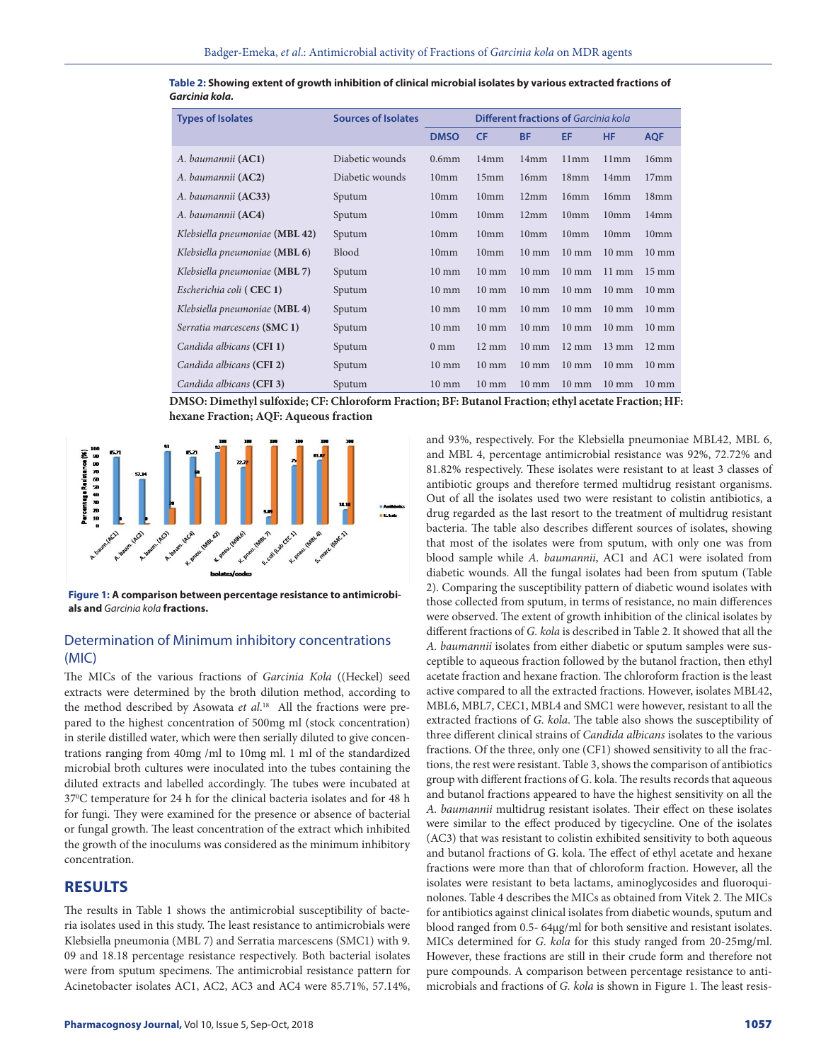| <b>Types of Isolates</b>       | <b>Sources of Isolates</b> |                   | <b>Different fractions of Garcinia kola</b> |                  |                  |                  |                  |  |  |  |  |
|--------------------------------|----------------------------|-------------------|---------------------------------------------|------------------|------------------|------------------|------------------|--|--|--|--|
|                                |                            | <b>DMSO</b>       | <b>CF</b>                                   | <b>BF</b>        | EF               | <b>HF</b>        | <b>AQF</b>       |  |  |  |  |
| A. baumannii (AC1)             | Diabetic wounds            | 0.6 <sub>mm</sub> | 14mm                                        | 14mm             | 11mm             | 11mm             | 16mm             |  |  |  |  |
| A. baumannii (AC2)             | Diabetic wounds            | 10 <sub>mm</sub>  | 15mm                                        | 16mm             | 18mm             | 14mm             | 17 <sub>mm</sub> |  |  |  |  |
| A. baumannii ( <b>AC33</b> )   | Sputum                     | 10 <sub>mm</sub>  | 10 <sub>mm</sub>                            | 12mm             | 16mm             | 16mm             | 18 <sub>mm</sub> |  |  |  |  |
| A. baumannii ( <b>AC4</b> )    | Sputum                     | 10 <sub>mm</sub>  | 10 <sub>mm</sub>                            | 12mm             | 10mm             | 10 <sub>mm</sub> | 14mm             |  |  |  |  |
| Klebsiella pneumoniae (MBL 42) | Sputum                     | 10 <sub>mm</sub>  | 10 <sub>mm</sub>                            | 10 <sub>mm</sub> | 10 <sub>mm</sub> | 10 <sub>mm</sub> | 10 <sub>mm</sub> |  |  |  |  |
| Klebsiella pneumoniae (MBL 6)  | <b>Blood</b>               | 10 <sub>mm</sub>  | 10 <sub>mm</sub>                            | $10 \text{ mm}$  | $10 \text{ mm}$  | $10 \text{ mm}$  | $10 \text{ mm}$  |  |  |  |  |
| Klebsiella pneumoniae (MBL 7)  | Sputum                     | $10 \text{ mm}$   | $10 \text{ mm}$                             | $10 \text{ mm}$  | $10 \text{ mm}$  | $11 \text{ mm}$  | $15 \text{ mm}$  |  |  |  |  |
| Escherichia coli (CEC 1)       | Sputum                     | $10 \text{ mm}$   | $10 \text{ mm}$                             | $10 \text{ mm}$  | $10 \text{ mm}$  | $10 \text{ mm}$  | $10 \text{ mm}$  |  |  |  |  |
| Klebsiella pneumoniae (MBL 4)  | Sputum                     | $10 \text{ mm}$   | $10 \text{ mm}$                             | $10 \text{ mm}$  | $10 \text{ mm}$  | $10 \text{ mm}$  | $10 \text{ mm}$  |  |  |  |  |
| Serratia marcescens (SMC 1)    | Sputum                     | $10 \text{ mm}$   | $10 \text{ mm}$                             | $10 \text{ mm}$  | $10 \text{ mm}$  | $10 \text{ mm}$  | $10 \text{ mm}$  |  |  |  |  |
| Candida albicans (CFI 1)       | Sputum                     | $0 \text{ mm}$    | $12 \text{ mm}$                             | $10 \text{ mm}$  | $12 \text{ mm}$  | $13 \text{ mm}$  | $12 \text{ mm}$  |  |  |  |  |
| Candida albicans (CFI 2)       | Sputum                     | $10 \text{ mm}$   | $10 \text{ mm}$                             | $10 \text{ mm}$  | $10 \text{ mm}$  | $10 \text{ mm}$  | $10 \text{ mm}$  |  |  |  |  |
| Candida albicans (CFI 3)       | Sputum                     | $10 \text{ mm}$   | $10 \text{ mm}$                             | $10 \text{ mm}$  | $10 \text{ mm}$  | $10 \text{ mm}$  | $10 \text{ mm}$  |  |  |  |  |

**Table 2: Showing extent of growth inhibition of clinical microbial isolates by various extracted fractions of**  *Garcinia kola.*

**DMSO: Dimethyl sulfoxide; CF: Chloroform Fraction; BF: Butanol Fraction; ethyl acetate Fraction; HF: hexane Fraction; AQF: Aqueous fraction**



**Figure 1: A comparison between percentage resistance to antimicrobials and** *Garcinia kola* **fractions.**

### Determination of Minimum inhibitory concentrations (MIC)

The MICs of the various fractions of *Garcinia Kola* ((Heckel) seed extracts were determined by the broth dilution method, according to the method described by Asowata *et al*. 18 All the fractions were prepared to the highest concentration of 500mg ml (stock concentration) in sterile distilled water, which were then serially diluted to give concentrations ranging from 40mg /ml to 10mg ml. 1 ml of the standardized microbial broth cultures were inoculated into the tubes containing the diluted extracts and labelled accordingly. The tubes were incubated at 370 C temperature for 24 h for the clinical bacteria isolates and for 48 h for fungi. They were examined for the presence or absence of bacterial or fungal growth. The least concentration of the extract which inhibited the growth of the inoculums was considered as the minimum inhibitory concentration.

### **RESULTS**

The results in Table 1 shows the antimicrobial susceptibility of bacteria isolates used in this study. The least resistance to antimicrobials were Klebsiella pneumonia (MBL 7) and Serratia marcescens (SMC1) with 9. 09 and 18.18 percentage resistance respectively. Both bacterial isolates were from sputum specimens. The antimicrobial resistance pattern for Acinetobacter isolates AC1, AC2, AC3 and AC4 were 85.71%, 57.14%,

and 93%, respectively. For the Klebsiella pneumoniae MBL42, MBL 6, and MBL 4, percentage antimicrobial resistance was 92%, 72.72% and 81.82% respectively. These isolates were resistant to at least 3 classes of antibiotic groups and therefore termed multidrug resistant organisms. Out of all the isolates used two were resistant to colistin antibiotics, a drug regarded as the last resort to the treatment of multidrug resistant bacteria. The table also describes different sources of isolates, showing that most of the isolates were from sputum, with only one was from blood sample while *A. baumannii*, AC1 and AC1 were isolated from diabetic wounds. All the fungal isolates had been from sputum (Table 2). Comparing the susceptibility pattern of diabetic wound isolates with those collected from sputum, in terms of resistance, no main differences were observed. The extent of growth inhibition of the clinical isolates by different fractions of *G. kola* is described in Table 2. It showed that all the *A. baumannii* isolates from either diabetic or sputum samples were susceptible to aqueous fraction followed by the butanol fraction, then ethyl acetate fraction and hexane fraction. The chloroform fraction is the least active compared to all the extracted fractions. However, isolates MBL42, MBL6, MBL7, CEC1, MBL4 and SMC1 were however, resistant to all the extracted fractions of *G. kola*. The table also shows the susceptibility of three different clinical strains of *Candida albicans* isolates to the various fractions. Of the three, only one (CF1) showed sensitivity to all the fractions, the rest were resistant. Table 3, shows the comparison of antibiotics group with different fractions of G. kola. The results records that aqueous and butanol fractions appeared to have the highest sensitivity on all the *A. baumannii* multidrug resistant isolates. Their effect on these isolates were similar to the effect produced by tigecycline. One of the isolates (AC3) that was resistant to colistin exhibited sensitivity to both aqueous and butanol fractions of G. kola. The effect of ethyl acetate and hexane fractions were more than that of chloroform fraction. However, all the isolates were resistant to beta lactams, aminoglycosides and fluoroquinolones. Table 4 describes the MICs as obtained from Vitek 2. The MICs for antibiotics against clinical isolates from diabetic wounds, sputum and blood ranged from 0.5- 64µg/ml for both sensitive and resistant isolates. MICs determined for *G. kola* for this study ranged from 20-25mg/ml. However, these fractions are still in their crude form and therefore not pure compounds. A comparison between percentage resistance to antimicrobials and fractions of *G. kola* is shown in Figure 1. The least resis-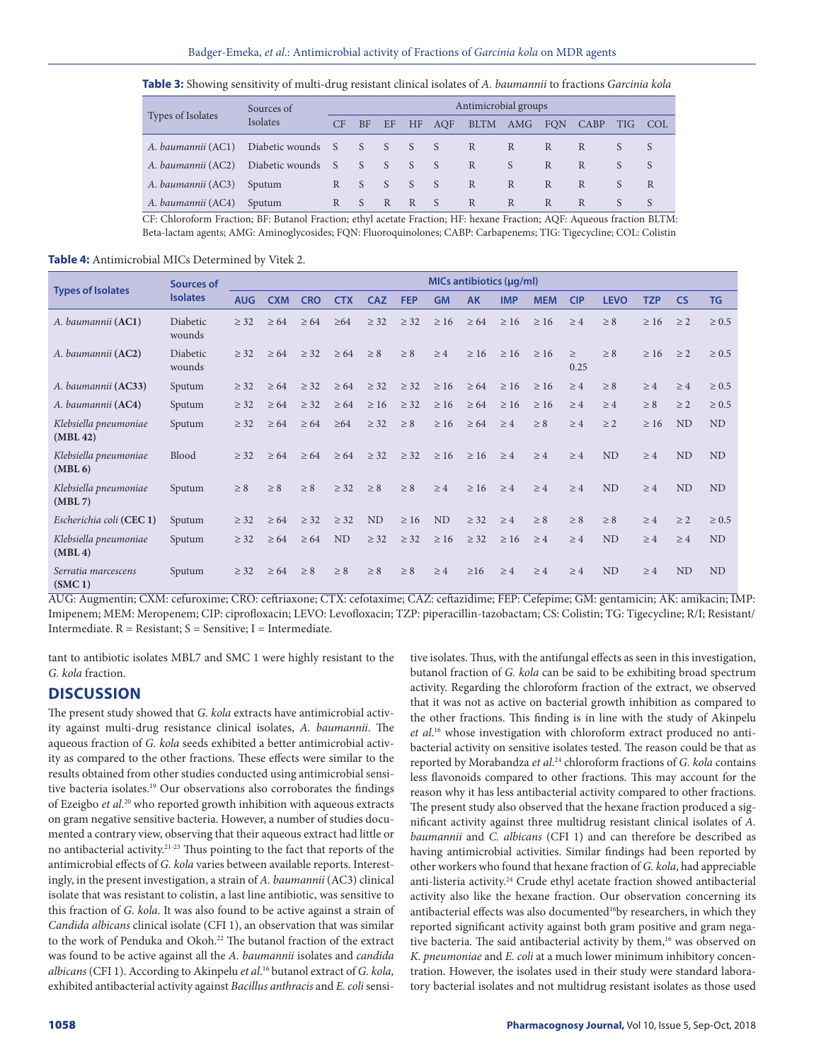**Table 3:** Showing sensitivity of multi-drug resistant clinical isolates of *A. baumannii* to fractions *Garcinia kola*

| Types of Isolates | Sources of         | Antimicrobial groups |           |                 |              |        |          |              |    |          |   |                  |   |  |  |
|-------------------|--------------------|----------------------|-----------|-----------------|--------------|--------|----------|--------------|----|----------|---|------------------|---|--|--|
|                   | Isolates           | CF                   | <b>BF</b> | EF              |              | HF AQF | BLTM     | AMG FON      |    | CABP TIG |   | COL <sup>-</sup> |   |  |  |
|                   | A. baumannii (AC1) | Diabetic wounds S    |           | $\sim$ S $\sim$ | S            | S      | $\sim$ S | R            | R  | R        | R |                  |   |  |  |
|                   | A. baumannii (AC2) | Diabetic wounds S    |           | S               | <sub>S</sub> | S      | -S       | R            | S. | R        | R |                  |   |  |  |
|                   | A. baumannii (AC3) | Sputum               | R         | $S_S$           |              | S      | S.       | $\mathbb{R}$ | R  | R        | R |                  | R |  |  |
|                   | A. baumannii (AC4) | Sputum               | R         | S               | R            | R      | $\sim$ S | R            | R  | R        | R |                  |   |  |  |

CF: Chloroform Fraction; BF: Butanol Fraction; ethyl acetate Fraction; HF: hexane Fraction; AQF: Aqueous fraction BLTM: Beta-lactam agents; AMG: Aminoglycosides; FQN: Fluoroquinolones; CABP: Carbapenems; TIG: Tigecycline; COL: Colistin

### **Table 4:** Antimicrobial MICs Determined by Vitek 2.

|                                   | Sources of         | MICs antibiotics (µq/ml) |            |            |            |             |            |                |           |            |            |            |                |            |                |            |
|-----------------------------------|--------------------|--------------------------|------------|------------|------------|-------------|------------|----------------|-----------|------------|------------|------------|----------------|------------|----------------|------------|
| <b>Types of Isolates</b>          | <b>Isolates</b>    | <b>AUG</b>               | <b>CXM</b> | <b>CRO</b> | <b>CTX</b> | <b>CAZ</b>  | <b>FEP</b> | <b>GM</b>      | <b>AK</b> | <b>IMP</b> | <b>MEM</b> | <b>CIP</b> | <b>LEVO</b>    | <b>TZP</b> | <b>CS</b>      | <b>TG</b>  |
| A. baumannii (AC1)                | Diabetic<br>wounds | > 32                     | > 64       | $\geq 64$  | $\geq 64$  | $\geq$ 32   | $\geq$ 32  | $\geq 16$      | $\geq 64$ | $\geq 16$  | $\geq 16$  | $\geq 4$   | $\geq 8$       | $\geq 16$  | $\geq 2$       | $\geq 0.5$ |
| A. baumannii (AC2)                | Diabetic<br>wounds | > 32                     | $\geq 64$  | > 32       | > 64       | $\geq 8$    | > 8        | $\geq 4$       | $\geq 16$ | $\geq 16$  | $\geq 16$  | ><br>0.25  | > 8            | $\geq 16$  | > 2            | $\geq 0.5$ |
| A. baumannii (AC33)               | Sputum             | $\geq$ 32                | $\geq 64$  | $\geq$ 32  | $\geq 64$  | $\geq$ 32   | $\geq$ 32  | $\geq 16$      | $\geq 64$ | $\geq 16$  | $\geq 16$  | $\geq 4$   | $\geq 8$       | $\geq 4$   | $\geq 4$       | $\geq 0.5$ |
| A. baumannii (AC4)                | Sputum             | $\geq$ 32                | $\geq 64$  | $\geq$ 32  | $\geq 64$  | $\geq 16$   | $\geq$ 32  | $\geq 16$      | $\geq 64$ | $\geq 16$  | >16        | >4         | >4             | $\geq 8$   | > 2            | $\geq 0.5$ |
| Klebsiella pneumoniae<br>(MBL 42) | Sputum             | $\geq$ 32                | $\geq 64$  | $\geq 64$  | $\geq 64$  | $\geq$ 32   | $\geq 8$   | $\geq 16$      | $\geq 64$ | $\geq 4$   | $\geq 8$   | >4         | $\geq 2$       | $\geq 16$  | N <sub>D</sub> | <b>ND</b>  |
| Klebsiella pneumoniae<br>(MBL 6)  | <b>Blood</b>       | > 32                     | > 64       | > 64       |            | $>64$ $>32$ | > 32       | >16            | $\geq 16$ | >4         | >4         | >4         | N <sub>D</sub> | >4         | <b>ND</b>      | <b>ND</b>  |
| Klebsiella pneumoniae<br>(MBL 7)  | Sputum             | $\geq 8$                 | $\geq 8$   | $\geq 8$   | $>$ 32     | $\geq 8$    | $\geq 8$   | $\geq 4$       | > 16      | >4         | >4         | >4         | N <sub>D</sub> | >4         | <b>ND</b>      | ND         |
| Escherichia coli (CEC 1)          | Sputum             | $\geq$ 32                | $\geq 64$  | $\geq$ 32  | $\geq$ 32  | <b>ND</b>   | $\geq 16$  | N <sub>D</sub> | $\geq$ 32 | $\geq 4$   | $\geq 8$   | $\geq 8$   | $\geq 8$       | >4         | $\geq$ 2       | $\geq 0.5$ |
| Klebsiella pneumoniae<br>(MBL 4)  | Sputum             | $\geq$ 32                | $\geq 64$  | $\geq 64$  | ND         | $\geq$ 32   | $\geq$ 32  | $\geq 16$      | $\geq$ 32 | $\geq 16$  | >4         | >4         | ND             | >4         | >4             | ND         |
| Serratia marcescens<br>(SMC1)     | Sputum             | $\geq$ 32                | $\geq 64$  | $\geq 8$   | $\geq 8$   | > 8         | > 8        | >4             | $\geq 16$ | >4         | >4         | >4         | <b>ND</b>      | >4         | <b>ND</b>      | ND         |

AUG: Augmentin; CXM: cefuroxime; CRO: ceftriaxone; CTX: cefotaxime; CAZ: ceftazidime; FEP: Cefepime; GM: gentamicin; AK: amikacin; IMP: Imipenem; MEM: Meropenem; CIP: ciprofloxacin; LEVO: Levofloxacin; TZP: piperacillin-tazobactam; CS: Colistin; TG: Tigecycline; R/I; Resistant/ Intermediate.  $R =$  Resistant;  $S =$  Sensitive; I = Intermediate.

tant to antibiotic isolates MBL7 and SMC 1 were highly resistant to the *G. kola* fraction.

### **DISCUSSION**

The present study showed that *G. kola* extracts have antimicrobial activity against multi-drug resistance clinical isolates, *A. baumannii*. The aqueous fraction of *G. kola* seeds exhibited a better antimicrobial activity as compared to the other fractions. These effects were similar to the results obtained from other studies conducted using antimicrobial sensitive bacteria isolates.<sup>19</sup> Our observations also corroborates the findings of Ezeigbo *et al*. 20 who reported growth inhibition with aqueous extracts on gram negative sensitive bacteria. However, a number of studies documented a contrary view, observing that their aqueous extract had little or no antibacterial activity.21-23 Thus pointing to the fact that reports of the antimicrobial effects of *G. kola* varies between available reports. Interestingly, in the present investigation, a strain of *A. baumannii* (AC3) clinical isolate that was resistant to colistin, a last line antibiotic, was sensitive to this fraction of *G. kola*. It was also found to be active against a strain of *Candida albicans* clinical isolate (CFI 1), an observation that was similar to the work of Penduka and Okoh.<sup>22</sup> The butanol fraction of the extract was found to be active against all the *A. baumannii* isolates and *candida albicans* (CFI 1). According to Akinpelu *et al*. 16 butanol extract of *G. kola,* exhibited antibacterial activity against *Bacillus anthracis* and *E. coli* sensitive isolates. Thus, with the antifungal effects as seen in this investigation, butanol fraction of *G. kola* can be said to be exhibiting broad spectrum activity. Regarding the chloroform fraction of the extract, we observed that it was not as active on bacterial growth inhibition as compared to the other fractions. This finding is in line with the study of Akinpelu *et al*. 16 whose investigation with chloroform extract produced no antibacterial activity on sensitive isolates tested. The reason could be that as reported by Morabandza et al.<sup>24</sup> chloroform fractions of *G. kola* contains less flavonoids compared to other fractions. This may account for the reason why it has less antibacterial activity compared to other fractions. The present study also observed that the hexane fraction produced a significant activity against three multidrug resistant clinical isolates of *A. baumannii* and *C. albicans* (CFI 1) and can therefore be described as having antimicrobial activities. Similar findings had been reported by other workers who found that hexane fraction of *G. kola*, had appreciable anti-listeria activity.<sup>24</sup> Crude ethyl acetate fraction showed antibacterial activity also like the hexane fraction. Our observation concerning its antibacterial effects was also documented<sup>16</sup>by researchers, in which they reported significant activity against both gram positive and gram negative bacteria. The said antibacterial activity by them,<sup>16</sup> was observed on *K. pneumoniae* and *E. coli* at a much lower minimum inhibitory concentration. However, the isolates used in their study were standard laboratory bacterial isolates and not multidrug resistant isolates as those used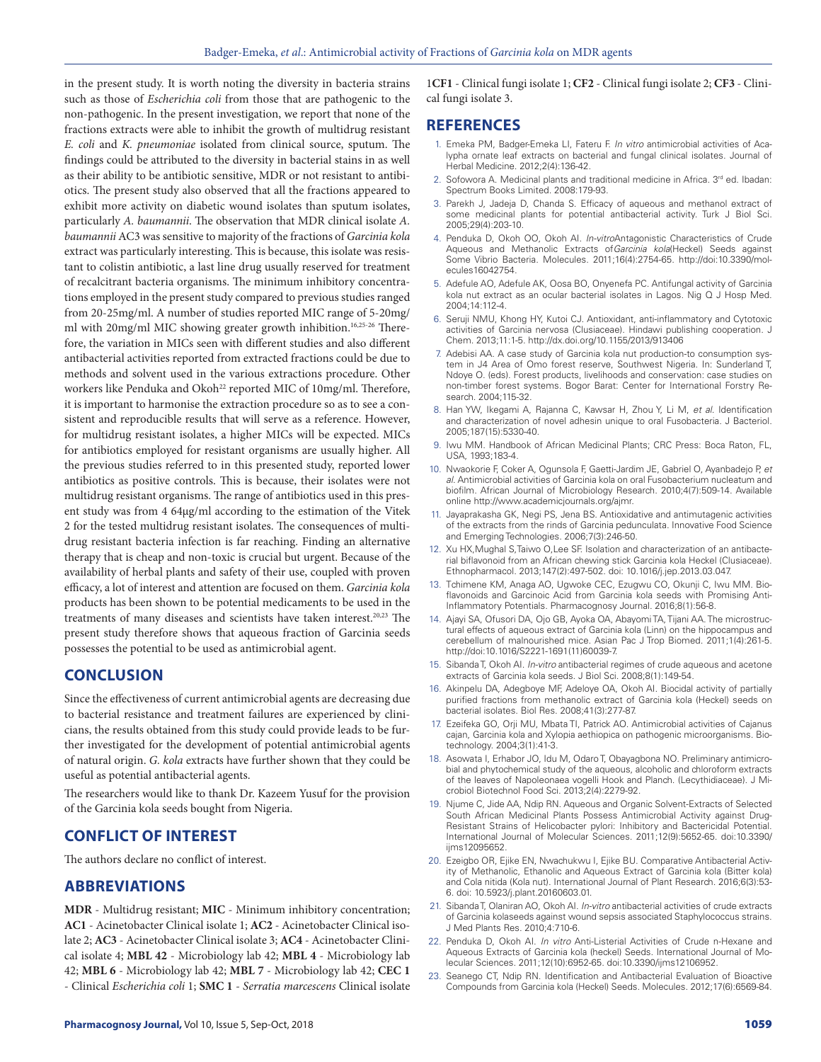in the present study. It is worth noting the diversity in bacteria strains such as those of *Escherichia coli* from those that are pathogenic to the non-pathogenic. In the present investigation, we report that none of the fractions extracts were able to inhibit the growth of multidrug resistant *E. coli* and *K. pneumoniae* isolated from clinical source, sputum. The findings could be attributed to the diversity in bacterial stains in as well as their ability to be antibiotic sensitive, MDR or not resistant to antibiotics. The present study also observed that all the fractions appeared to exhibit more activity on diabetic wound isolates than sputum isolates, particularly *A. baumannii*. The observation that MDR clinical isolate *A. baumannii* AC3 was sensitive to majority of the fractions of *Garcinia kola* extract was particularly interesting. This is because, this isolate was resistant to colistin antibiotic, a last line drug usually reserved for treatment of recalcitrant bacteria organisms. The minimum inhibitory concentrations employed in the present study compared to previous studies ranged from 20-25mg/ml. A number of studies reported MIC range of 5-20mg/ ml with 20mg/ml MIC showing greater growth inhibition.<sup>16,25-26</sup> Therefore, the variation in MICs seen with different studies and also different antibacterial activities reported from extracted fractions could be due to methods and solvent used in the various extractions procedure. Other workers like Penduka and Okoh<sup>22</sup> reported MIC of 10mg/ml. Therefore, it is important to harmonise the extraction procedure so as to see a consistent and reproducible results that will serve as a reference. However, for multidrug resistant isolates, a higher MICs will be expected. MICs for antibiotics employed for resistant organisms are usually higher. All the previous studies referred to in this presented study, reported lower antibiotics as positive controls. This is because, their isolates were not multidrug resistant organisms. The range of antibiotics used in this present study was from 4 64µg/ml according to the estimation of the Vitek 2 for the tested multidrug resistant isolates. The consequences of multidrug resistant bacteria infection is far reaching. Finding an alternative therapy that is cheap and non-toxic is crucial but urgent. Because of the availability of herbal plants and safety of their use, coupled with proven efficacy, a lot of interest and attention are focused on them. *Garcinia kola* products has been shown to be potential medicaments to be used in the treatments of many diseases and scientists have taken interest.20,23 The present study therefore shows that aqueous fraction of Garcinia seeds possesses the potential to be used as antimicrobial agent.

### **CONCLUSION**

Since the effectiveness of current antimicrobial agents are decreasing due to bacterial resistance and treatment failures are experienced by clinicians, the results obtained from this study could provide leads to be further investigated for the development of potential antimicrobial agents of natural origin. *G. kola* extracts have further shown that they could be useful as potential antibacterial agents.

The researchers would like to thank Dr. Kazeem Yusuf for the provision of the Garcinia kola seeds bought from Nigeria.

### **CONFLICT OF INTEREST**

The authors declare no conflict of interest.

### **ABBREVIATIONS**

**MDR** - Multidrug resistant; **MIC** - Minimum inhibitory concentration; **AC1** - Acinetobacter Clinical isolate 1; **AC2** - Acinetobacter Clinical isolate 2; **AC3** - Acinetobacter Clinical isolate 3; **AC4** - Acinetobacter Clinical isolate 4; **MBL 42** - Microbiology lab 42; **MBL 4** - Microbiology lab 42; **MBL 6** - Microbiology lab 42; **MBL 7** - Microbiology lab 42; **CEC 1** - Clinical *Escherichia coli* 1; **SMC 1** - *Serratia marcescens* Clinical isolate

### **REFERENCES**

- 1. Emeka PM, Badger-Emeka LI, Fateru F. *In vitro* antimicrobial activities of Acalypha ornate leaf extracts on bacterial and fungal clinical isolates. Journal of Herbal Medicine. 2012;2(4):136-42.
- 2. Sofowora A. Medicinal plants and traditional medicine in Africa. 3<sup>rd</sup> ed. Ibadan: Spectrum Books Limited. 2008:179-93.
- 3. Parekh J, Jadeja D, Chanda S. Efficacy of aqueous and methanol extract of some medicinal plants for potential antibacterial activity. Turk J Biol Sci. 2005;29(4):203-10.
- 4. Penduka D, Okoh OO, Okoh AI. *In-vitro*Antagonistic Characteristics of Crude Aqueous and Methanolic Extracts of*Garcinia kola*(Heckel) Seeds against Some Vibrio Bacteria. Molecules. 2011;16(4):2754-65. http://doi:10.3390/molecules16042754.
- 5. Adefule AO, Adefule AK, Oosa BO, Onyenefa PC. Antifungal activity of Garcinia kola nut extract as an ocular bacterial isolates in Lagos. Nig Q J Hosp Med. 2004;14:112-4.
- 6. Seruji NMU, Khong HY, Kutoi CJ. Antioxidant, anti-inflammatory and Cytotoxic activities of Garcinia nervosa (Clusiaceae). Hindawi publishing cooperation. J Chem. 2013;11:1-5. http://dx.doi.org/10.1155/2013/913406
- 7. Adebisi AA. A case study of Garcinia kola nut production-to consumption system in J4 Area of Omo forest reserve, Southwest Nigeria. In: Sunderland T, Ndoye O. (eds). Forest products, livelihoods and conservation: case studies on non-timber forest systems. Bogor Barat: Center for International Forstry Research. 2004;115-32.
- 8. Han YW, Ikegami A, Rajanna C, Kawsar H, Zhou Y, Li M, *et al*. Identification and characterization of novel adhesin unique to oral Fusobacteria. J Bacteriol. 2005;187(15):5330-40.
- 9. Iwu MM. Handbook of African Medicinal Plants; CRC Press: Boca Raton, FL, USA, 1993;183-4.
- 10. Nwaokorie F, Coker A, Ogunsola F, Gaetti-Jardim JE, Gabriel O, Ayanbadejo P, *et al*. Antimicrobial activities of Garcinia kola on oral Fusobacterium nucleatum and biofilm. African Journal of Microbiology Research. 2010;4(7):509-14. Available online http://www.academicjournals.org/ajmr.
- 11. Jayaprakasha GK, Negi PS, Jena BS. Antioxidative and antimutagenic activities of the extracts from the rinds of Garcinia pedunculata. Innovative Food Science and Emerging Technologies. 2006;7(3):246-50.
- 12. Xu HX,Mughal S,Taiwo O,Lee SF. Isolation and characterization of an antibacterial biflavonoid from an African chewing stick Garcinia kola Heckel (Clusiaceae). Ethnopharmacol. 2013;147(2):497-502. doi: 10.1016/j.jep.2013.03.047.
- 13. Tchimene KM, Anaga AO, Ugwoke CEC, Ezugwu CO, Okunji C, Iwu MM. Bioflavonoids and Garcinoic Acid from Garcinia kola seeds with Promising Anti-Inflammatory Potentials. Pharmacognosy Journal. 2016;8(1):56-8.
- 14. Ajayi SA, Ofusori DA, Ojo GB, Ayoka OA, Abayomi TA, Tijani AA. The microstructural effects of aqueous extract of Garcinia kola (Linn) on the hippocampus and cerebellum of malnourished mice. Asian Pac J Trop Biomed. 2011;1(4):261-5. http://doi:10.1016/S2221-1691(11)60039-7.
- 15. Sibanda T, Okoh AI. *In-vitro* antibacterial regimes of crude aqueous and acetone extracts of Garcinia kola seeds. J Biol Sci. 2008;8(1):149-54.
- 16. Akinpelu DA, Adegboye MF, Adeloye OA, Okoh AI. Biocidal activity of partially purified fractions from methanolic extract of Garcinia kola (Heckel) seeds on bacterial isolates. Biol Res. 2008;41(3):277-87.
- 17. Ezeifeka GO, Orji MU, Mbata TI, Patrick AO. Antimicrobial activities of Cajanus cajan, Garcinia kola and Xylopia aethiopica on pathogenic microorganisms. Biotechnology. 2004;3(1):41-3.
- 18. Asowata I, Erhabor JO, Idu M, Odaro T, Obayagbona NO. Preliminary antimicrobial and phytochemical study of the aqueous, alcoholic and chloroform extracts of the leaves of Napoleonaea vogelli Hook and Planch. (Lecythidiaceae). J Microbiol Biotechnol Food Sci. 2013;2(4):2279-92.
- 19. Njume C, Jide AA, Ndip RN. Aqueous and Organic Solvent-Extracts of Selected South African Medicinal Plants Possess Antimicrobial Activity against Drug-Resistant Strains of Helicobacter pylori: Inhibitory and Bactericidal Potential. International Journal of Molecular Sciences. 2011;12(9):5652-65. doi:10.3390/ ijms12095652.
- 20. Ezeigbo OR, Ejike EN, Nwachukwu I, Ejike BU. Comparative Antibacterial Activity of Methanolic, Ethanolic and Aqueous Extract of Garcinia kola (Bitter kola) and Cola nitida (Kola nut). International Journal of Plant Research. 2016;6(3):53- 6. doi: 10.5923/j.plant.20160603.01.
- 21. Sibanda T, Olaniran AO, Okoh AI. *In-vitro* antibacterial activities of crude extracts of Garcinia kolaseeds against wound sepsis associated Staphylococcus strains. J Med Plants Res. 2010;4:710-6.
- 22. Penduka D, Okoh AI. *In vitro* Anti-Listerial Activities of Crude n-Hexane and Aqueous Extracts of Garcinia kola (heckel) Seeds. International Journal of Molecular Sciences. 2011;12(10):6952-65. doi:10.3390/ijms12106952.
- 23. Seanego CT, Ndip RN. Identification and Antibacterial Evaluation of Bioactive Compounds from Garcinia kola (Heckel) Seeds. Molecules. 2012;17(6):6569-84.